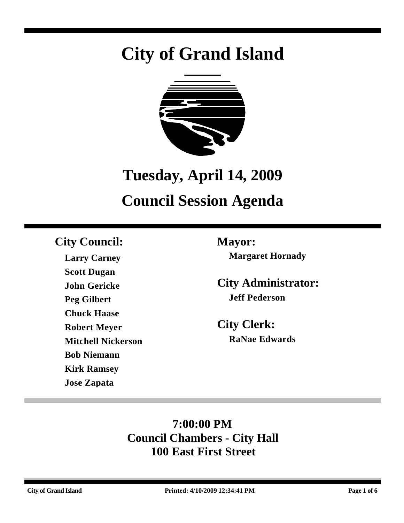# **City of Grand Island**



## **Tuesday, April 14, 2009**

## **Council Session Agenda**

### **City Council: Mayor:**

**Larry Carney Scott Dugan John Gericke Peg Gilbert Chuck Haase Robert Meyer Mitchell Nickerson Bob Niemann Kirk Ramsey Jose Zapata**

**Margaret Hornady**

**City Administrator: Jeff Pederson**

**City Clerk: RaNae Edwards**

### **7:00:00 PM Council Chambers - City Hall 100 East First Street**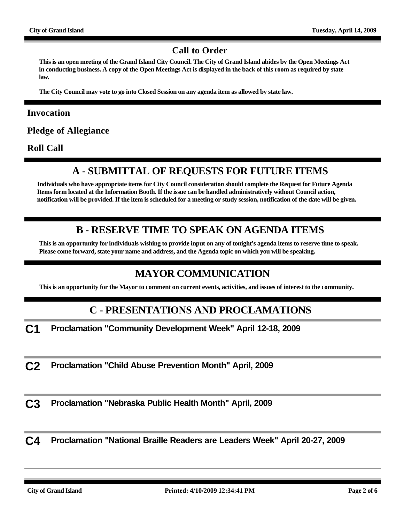#### **Call to Order**

**This is an open meeting of the Grand Island City Council. The City of Grand Island abides by the Open Meetings Act in conducting business. A copy of the Open Meetings Act is displayed in the back of this room as required by state law.**

**The City Council may vote to go into Closed Session on any agenda item as allowed by state law.**

#### **Invocation**

**Pledge of Allegiance**

**Roll Call**

#### **A - SUBMITTAL OF REQUESTS FOR FUTURE ITEMS**

**Individuals who have appropriate items for City Council consideration should complete the Request for Future Agenda Items form located at the Information Booth. If the issue can be handled administratively without Council action, notification will be provided. If the item is scheduled for a meeting or study session, notification of the date will be given.**

#### **B - RESERVE TIME TO SPEAK ON AGENDA ITEMS**

**This is an opportunity for individuals wishing to provide input on any of tonight's agenda items to reserve time to speak. Please come forward, state your name and address, and the Agenda topic on which you will be speaking.**

#### **MAYOR COMMUNICATION**

**This is an opportunity for the Mayor to comment on current events, activities, and issues of interest to the community.**

#### **C - PRESENTATIONS AND PROCLAMATIONS**

**C1 Proclamation "Community Development Week" April 12-18, 2009**

**C2 Proclamation "Child Abuse Prevention Month" April, 2009**

**C3 Proclamation "Nebraska Public Health Month" April, 2009**

**C4 Proclamation "National Braille Readers are Leaders Week" April 20-27, 2009**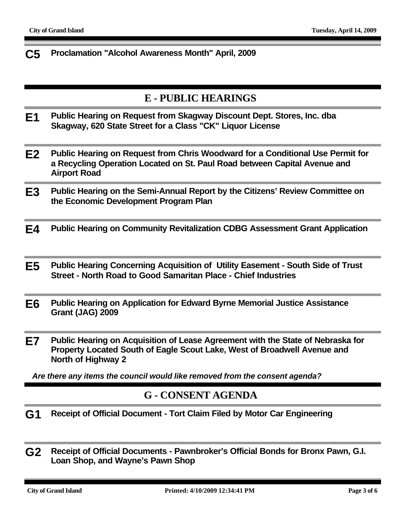**C5 Proclamation "Alcohol Awareness Month" April, 2009**

#### **E - PUBLIC HEARINGS**

- **E1 Public Hearing on Request from Skagway Discount Dept. Stores, Inc. dba Skagway, 620 State Street for a Class "CK" Liquor License**
- **E2 Public Hearing on Request from Chris Woodward for a Conditional Use Permit for a Recycling Operation Located on St. Paul Road between Capital Avenue and Airport Road**
- **E3 Public Hearing on the Semi-Annual Report by the Citizens' Review Committee on the Economic Development Program Plan**
- **E4 Public Hearing on Community Revitalization CDBG Assessment Grant Application**
- **E5 Public Hearing Concerning Acquisition of Utility Easement South Side of Trust Street - North Road to Good Samaritan Place - Chief Industries**
- **E6 Public Hearing on Application for Edward Byrne Memorial Justice Assistance Grant (JAG) 2009**
- **E7 Public Hearing on Acquisition of Lease Agreement with the State of Nebraska for Property Located South of Eagle Scout Lake, West of Broadwell Avenue and North of Highway 2**

*Are there any items the council would like removed from the consent agenda?*

#### **G - CONSENT AGENDA**

- **G1 Receipt of Official Document Tort Claim Filed by Motor Car Engineering**
- **G2 Receipt of Official Documents Pawnbroker's Official Bonds for Bronx Pawn, G.I. Loan Shop, and Wayne's Pawn Shop**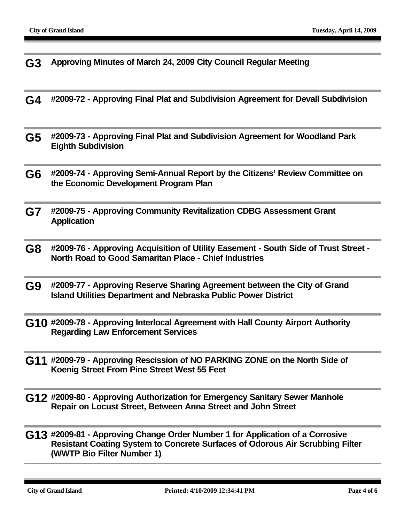- **G3 Approving Minutes of March 24, 2009 City Council Regular Meeting G4 #2009-72 - Approving Final Plat and Subdivision Agreement for Devall Subdivision G5 #2009-73 - Approving Final Plat and Subdivision Agreement for Woodland Park Eighth Subdivision G6 #2009-74 - Approving Semi-Annual Report by the Citizens' Review Committee on the Economic Development Program Plan G7 #2009-75 - Approving Community Revitalization CDBG Assessment Grant Application G8 #2009-76 - Approving Acquisition of Utility Easement - South Side of Trust Street - North Road to Good Samaritan Place - Chief Industries G9 #2009-77 - Approving Reserve Sharing Agreement between the City of Grand Island Utilities Department and Nebraska Public Power District G10 #2009-78 - Approving Interlocal Agreement with Hall County Airport Authority Regarding Law Enforcement Services**
- **G11 #2009-79 Approving Rescission of NO PARKING ZONE on the North Side of Koenig Street From Pine Street West 55 Feet**
- **G12 #2009-80 Approving Authorization for Emergency Sanitary Sewer Manhole Repair on Locust Street, Between Anna Street and John Street**
- **G13 #2009-81 Approving Change Order Number 1 for Application of a Corrosive Resistant Coating System to Concrete Surfaces of Odorous Air Scrubbing Filter (WWTP Bio Filter Number 1)**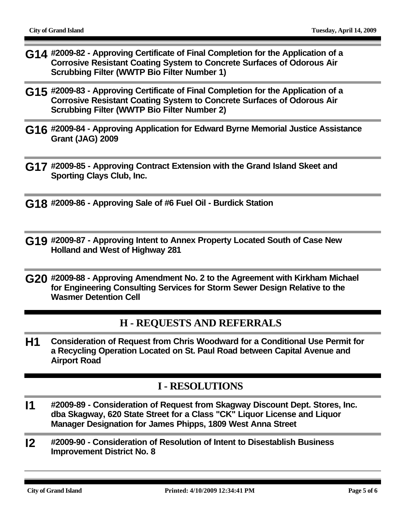- **G14 #2009-82 Approving Certificate of Final Completion for the Application of a Corrosive Resistant Coating System to Concrete Surfaces of Odorous Air Scrubbing Filter (WWTP Bio Filter Number 1)**
- **G15 #2009-83 Approving Certificate of Final Completion for the Application of a Corrosive Resistant Coating System to Concrete Surfaces of Odorous Air Scrubbing Filter (WWTP Bio Filter Number 2)**
- **G16 #2009-84 Approving Application for Edward Byrne Memorial Justice Assistance Grant (JAG) 2009**
- **G17 #2009-85 Approving Contract Extension with the Grand Island Skeet and Sporting Clays Club, Inc.**
- **G18 #2009-86 Approving Sale of #6 Fuel Oil Burdick Station**
- **G19 #2009-87 Approving Intent to Annex Property Located South of Case New Holland and West of Highway 281**
- **G20 #2009-88 Approving Amendment No. 2 to the Agreement with Kirkham Michael for Engineering Consulting Services for Storm Sewer Design Relative to the Wasmer Detention Cell**

#### **H - REQUESTS AND REFERRALS**

**H1 Consideration of Request from Chris Woodward for a Conditional Use Permit for a Recycling Operation Located on St. Paul Road between Capital Avenue and Airport Road**

#### **I - RESOLUTIONS**

- **I1 #2009-89 Consideration of Request from Skagway Discount Dept. Stores, Inc. dba Skagway, 620 State Street for a Class "CK" Liquor License and Liquor Manager Designation for James Phipps, 1809 West Anna Street**
- **I2 #2009-90 Consideration of Resolution of Intent to Disestablish Business Improvement District No. 8**